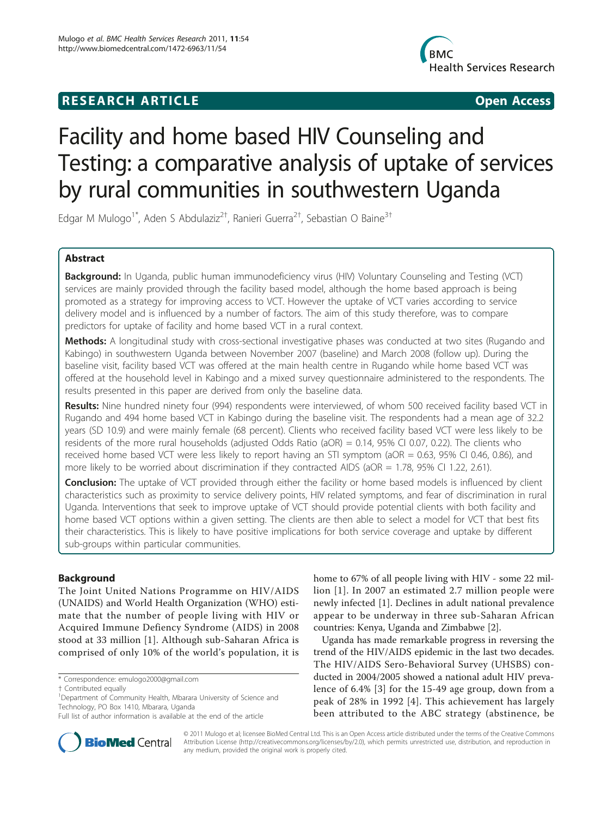## **RESEARCH ARTICLE Example 2018 12:00 Open Access**



# Facility and home based HIV Counseling and Testing: a comparative analysis of uptake of services by rural communities in southwestern Uganda

Edgar M Mulogo<sup>1\*</sup>, Aden S Abdulaziz<sup>2†</sup>, Ranieri Guerra<sup>2†</sup>, Sebastian O Baine<sup>3†</sup>

## Abstract

Background: In Uganda, public human immunodeficiency virus (HIV) Voluntary Counseling and Testing (VCT) services are mainly provided through the facility based model, although the home based approach is being promoted as a strategy for improving access to VCT. However the uptake of VCT varies according to service delivery model and is influenced by a number of factors. The aim of this study therefore, was to compare predictors for uptake of facility and home based VCT in a rural context.

Methods: A longitudinal study with cross-sectional investigative phases was conducted at two sites (Rugando and Kabingo) in southwestern Uganda between November 2007 (baseline) and March 2008 (follow up). During the baseline visit, facility based VCT was offered at the main health centre in Rugando while home based VCT was offered at the household level in Kabingo and a mixed survey questionnaire administered to the respondents. The results presented in this paper are derived from only the baseline data.

Results: Nine hundred ninety four (994) respondents were interviewed, of whom 500 received facility based VCT in Rugando and 494 home based VCT in Kabingo during the baseline visit. The respondents had a mean age of 32.2 years (SD 10.9) and were mainly female (68 percent). Clients who received facility based VCT were less likely to be residents of the more rural households (adjusted Odds Ratio (aOR) = 0.14, 95% CI 0.07, 0.22). The clients who received home based VCT were less likely to report having an STI symptom (aOR = 0.63, 95% CI 0.46, 0.86), and more likely to be worried about discrimination if they contracted AIDS ( $aOR = 1.78$ ,  $95\%$  CI 1.22, 2.61).

**Conclusion:** The uptake of VCT provided through either the facility or home based models is influenced by client characteristics such as proximity to service delivery points, HIV related symptoms, and fear of discrimination in rural Uganda. Interventions that seek to improve uptake of VCT should provide potential clients with both facility and home based VCT options within a given setting. The clients are then able to select a model for VCT that best fits their characteristics. This is likely to have positive implications for both service coverage and uptake by different sub-groups within particular communities.

## Background

The Joint United Nations Programme on HIV/AIDS (UNAIDS) and World Health Organization (WHO) estimate that the number of people living with HIV or Acquired Immune Defiency Syndrome (AIDS) in 2008 stood at 33 million [\[1](#page-6-0)]. Although sub-Saharan Africa is comprised of only 10% of the world's population, it is



Uganda has made remarkable progress in reversing the trend of the HIV/AIDS epidemic in the last two decades. The HIV/AIDS Sero-Behavioral Survey (UHSBS) conducted in 2004/2005 showed a national adult HIV prevalence of 6.4% [[3](#page-6-0)] for the 15-49 age group, down from a peak of 28% in 1992 [[4](#page-6-0)]. This achievement has largely been attributed to the ABC strategy (abstinence, be



© 2011 Mulogo et al; licensee BioMed Central Ltd. This is an Open Access article distributed under the terms of the Creative Commons Attribution License [\(http://creativecommons.org/licenses/by/2.0](http://creativecommons.org/licenses/by/2.0)), which permits unrestricted use, distribution, and reproduction in any medium, provided the original work is properly cited.

<sup>\*</sup> Correspondence: [emulogo2000@gmail.com](mailto:emulogo2000@gmail.com)

<sup>†</sup> Contributed equally <sup>1</sup>

<sup>&</sup>lt;sup>1</sup>Department of Community Health, Mbarara University of Science and Technology, PO Box 1410, Mbarara, Uganda

Full list of author information is available at the end of the article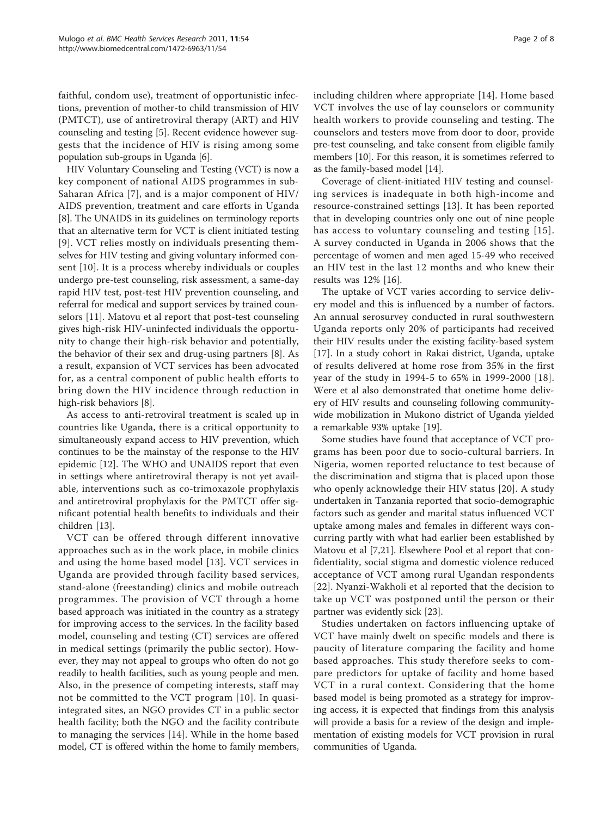faithful, condom use), treatment of opportunistic infections, prevention of mother-to child transmission of HIV (PMTCT), use of antiretroviral therapy (ART) and HIV counseling and testing [\[5](#page-6-0)]. Recent evidence however suggests that the incidence of HIV is rising among some population sub-groups in Uganda [\[6](#page-6-0)].

HIV Voluntary Counseling and Testing (VCT) is now a key component of national AIDS programmes in sub-Saharan Africa [[7](#page-6-0)], and is a major component of HIV/ AIDS prevention, treatment and care efforts in Uganda [[8\]](#page-6-0). The UNAIDS in its guidelines on terminology reports that an alternative term for VCT is client initiated testing [[9](#page-6-0)]. VCT relies mostly on individuals presenting themselves for HIV testing and giving voluntary informed consent [\[10](#page-7-0)]. It is a process whereby individuals or couples undergo pre-test counseling, risk assessment, a same-day rapid HIV test, post-test HIV prevention counseling, and referral for medical and support services by trained counselors [\[11](#page-7-0)]. Matovu et al report that post-test counseling gives high-risk HIV-uninfected individuals the opportunity to change their high-risk behavior and potentially, the behavior of their sex and drug-using partners [[8](#page-6-0)]. As a result, expansion of VCT services has been advocated for, as a central component of public health efforts to bring down the HIV incidence through reduction in high-risk behaviors [\[8](#page-6-0)].

As access to anti-retroviral treatment is scaled up in countries like Uganda, there is a critical opportunity to simultaneously expand access to HIV prevention, which continues to be the mainstay of the response to the HIV epidemic [[12\]](#page-7-0). The WHO and UNAIDS report that even in settings where antiretroviral therapy is not yet available, interventions such as co-trimoxazole prophylaxis and antiretroviral prophylaxis for the PMTCT offer significant potential health benefits to individuals and their children [\[13](#page-7-0)].

VCT can be offered through different innovative approaches such as in the work place, in mobile clinics and using the home based model [[13](#page-7-0)]. VCT services in Uganda are provided through facility based services, stand-alone (freestanding) clinics and mobile outreach programmes. The provision of VCT through a home based approach was initiated in the country as a strategy for improving access to the services. In the facility based model, counseling and testing (CT) services are offered in medical settings (primarily the public sector). However, they may not appeal to groups who often do not go readily to health facilities, such as young people and men. Also, in the presence of competing interests, staff may not be committed to the VCT program [[10](#page-7-0)]. In quasiintegrated sites, an NGO provides CT in a public sector health facility; both the NGO and the facility contribute to managing the services [[14\]](#page-7-0). While in the home based model, CT is offered within the home to family members, including children where appropriate [[14\]](#page-7-0). Home based VCT involves the use of lay counselors or community health workers to provide counseling and testing. The counselors and testers move from door to door, provide pre-test counseling, and take consent from eligible family members [\[10\]](#page-7-0). For this reason, it is sometimes referred to as the family-based model [\[14\]](#page-7-0).

Coverage of client-initiated HIV testing and counseling services is inadequate in both high-income and resource-constrained settings [[13](#page-7-0)]. It has been reported that in developing countries only one out of nine people has access to voluntary counseling and testing [[15\]](#page-7-0). A survey conducted in Uganda in 2006 shows that the percentage of women and men aged 15-49 who received an HIV test in the last 12 months and who knew their results was 12% [[16](#page-7-0)].

The uptake of VCT varies according to service delivery model and this is influenced by a number of factors. An annual serosurvey conducted in rural southwestern Uganda reports only 20% of participants had received their HIV results under the existing facility-based system [[17\]](#page-7-0). In a study cohort in Rakai district, Uganda, uptake of results delivered at home rose from 35% in the first year of the study in 1994-5 to 65% in 1999-2000 [[18](#page-7-0)]. Were et al also demonstrated that onetime home delivery of HIV results and counseling following communitywide mobilization in Mukono district of Uganda yielded a remarkable 93% uptake [[19](#page-7-0)].

Some studies have found that acceptance of VCT programs has been poor due to socio-cultural barriers. In Nigeria, women reported reluctance to test because of the discrimination and stigma that is placed upon those who openly acknowledge their HIV status [[20\]](#page-7-0). A study undertaken in Tanzania reported that socio-demographic factors such as gender and marital status influenced VCT uptake among males and females in different ways concurring partly with what had earlier been established by Matovu et al [[7,](#page-6-0)[21\]](#page-7-0). Elsewhere Pool et al report that confidentiality, social stigma and domestic violence reduced acceptance of VCT among rural Ugandan respondents [[22](#page-7-0)]. Nyanzi-Wakholi et al reported that the decision to take up VCT was postponed until the person or their partner was evidently sick [[23](#page-7-0)].

Studies undertaken on factors influencing uptake of VCT have mainly dwelt on specific models and there is paucity of literature comparing the facility and home based approaches. This study therefore seeks to compare predictors for uptake of facility and home based VCT in a rural context. Considering that the home based model is being promoted as a strategy for improving access, it is expected that findings from this analysis will provide a basis for a review of the design and implementation of existing models for VCT provision in rural communities of Uganda.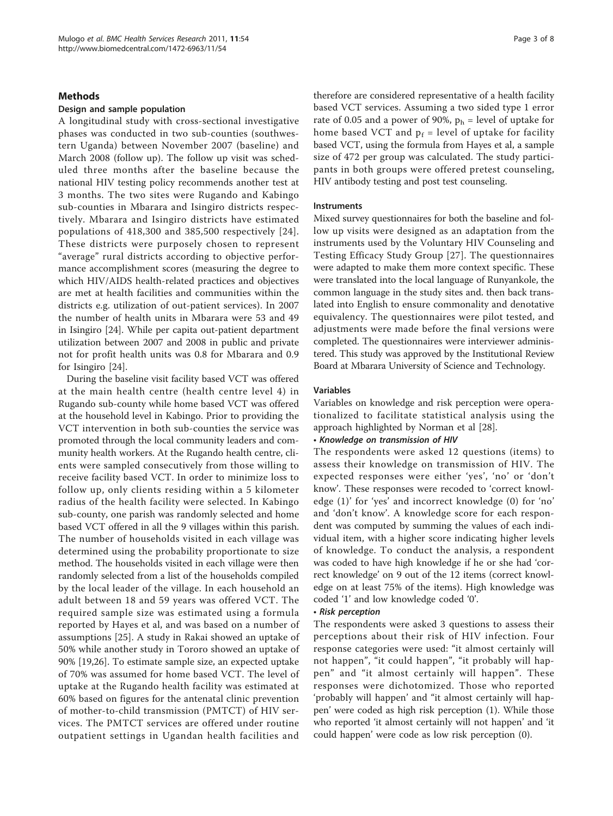#### Methods

## Design and sample population

A longitudinal study with cross-sectional investigative phases was conducted in two sub-counties (southwestern Uganda) between November 2007 (baseline) and March 2008 (follow up). The follow up visit was scheduled three months after the baseline because the national HIV testing policy recommends another test at 3 months. The two sites were Rugando and Kabingo sub-counties in Mbarara and Isingiro districts respectively. Mbarara and Isingiro districts have estimated populations of 418,300 and 385,500 respectively [[24\]](#page-7-0). These districts were purposely chosen to represent "average" rural districts according to objective performance accomplishment scores (measuring the degree to which HIV/AIDS health-related practices and objectives are met at health facilities and communities within the districts e.g. utilization of out-patient services). In 2007 the number of health units in Mbarara were 53 and 49 in Isingiro [\[24\]](#page-7-0). While per capita out-patient department utilization between 2007 and 2008 in public and private not for profit health units was 0.8 for Mbarara and 0.9 for Isingiro [[24\]](#page-7-0).

During the baseline visit facility based VCT was offered at the main health centre (health centre level 4) in Rugando sub-county while home based VCT was offered at the household level in Kabingo. Prior to providing the VCT intervention in both sub-counties the service was promoted through the local community leaders and community health workers. At the Rugando health centre, clients were sampled consecutively from those willing to receive facility based VCT. In order to minimize loss to follow up, only clients residing within a 5 kilometer radius of the health facility were selected. In Kabingo sub-county, one parish was randomly selected and home based VCT offered in all the 9 villages within this parish. The number of households visited in each village was determined using the probability proportionate to size method. The households visited in each village were then randomly selected from a list of the households compiled by the local leader of the village. In each household an adult between 18 and 59 years was offered VCT. The required sample size was estimated using a formula reported by Hayes et al, and was based on a number of assumptions [[25\]](#page-7-0). A study in Rakai showed an uptake of 50% while another study in Tororo showed an uptake of 90% [\[19,26](#page-7-0)]. To estimate sample size, an expected uptake of 70% was assumed for home based VCT. The level of uptake at the Rugando health facility was estimated at 60% based on figures for the antenatal clinic prevention of mother-to-child transmission (PMTCT) of HIV services. The PMTCT services are offered under routine outpatient settings in Ugandan health facilities and

therefore are considered representative of a health facility based VCT services. Assuming a two sided type 1 error rate of 0.05 and a power of 90%,  $p_h$  = level of uptake for home based VCT and  $p_f$  = level of uptake for facility based VCT, using the formula from Hayes et al, a sample size of 472 per group was calculated. The study participants in both groups were offered pretest counseling, HIV antibody testing and post test counseling.

## Instruments

Mixed survey questionnaires for both the baseline and follow up visits were designed as an adaptation from the instruments used by the Voluntary HIV Counseling and Testing Efficacy Study Group [\[27\]](#page-7-0). The questionnaires were adapted to make them more context specific. These were translated into the local language of Runyankole, the common language in the study sites and. then back translated into English to ensure commonality and denotative equivalency. The questionnaires were pilot tested, and adjustments were made before the final versions were completed. The questionnaires were interviewer administered. This study was approved by the Institutional Review Board at Mbarara University of Science and Technology.

#### Variables

Variables on knowledge and risk perception were operationalized to facilitate statistical analysis using the approach highlighted by Norman et al [\[28](#page-7-0)].

#### • Knowledge on transmission of HIV

The respondents were asked 12 questions (items) to assess their knowledge on transmission of HIV. The expected responses were either 'yes', 'no' or 'don't know'. These responses were recoded to 'correct knowledge (1)' for 'yes' and incorrect knowledge (0) for 'no' and 'don't know'. A knowledge score for each respondent was computed by summing the values of each individual item, with a higher score indicating higher levels of knowledge. To conduct the analysis, a respondent was coded to have high knowledge if he or she had 'correct knowledge' on 9 out of the 12 items (correct knowledge on at least 75% of the items). High knowledge was coded '1' and low knowledge coded '0'.

#### • Risk perception

The respondents were asked 3 questions to assess their perceptions about their risk of HIV infection. Four response categories were used: "it almost certainly will not happen", "it could happen", "it probably will happen" and "it almost certainly will happen". These responses were dichotomized. Those who reported 'probably will happen' and "it almost certainly will happen' were coded as high risk perception (1). While those who reported 'it almost certainly will not happen' and 'it could happen' were code as low risk perception (0).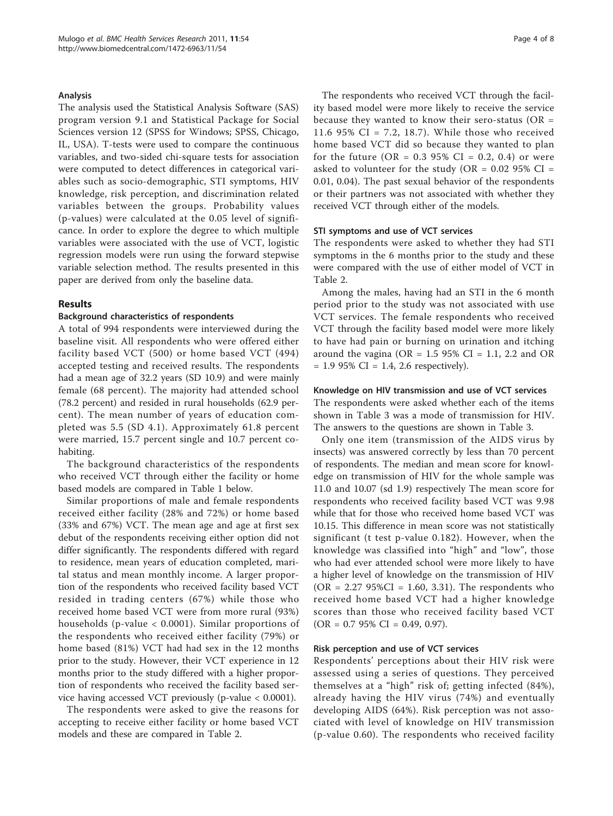## Analysis

The analysis used the Statistical Analysis Software (SAS) program version 9.1 and Statistical Package for Social Sciences version 12 (SPSS for Windows; SPSS, Chicago, IL, USA). T-tests were used to compare the continuous variables, and two-sided chi-square tests for association were computed to detect differences in categorical variables such as socio-demographic, STI symptoms, HIV knowledge, risk perception, and discrimination related variables between the groups. Probability values (p-values) were calculated at the 0.05 level of significance. In order to explore the degree to which multiple variables were associated with the use of VCT, logistic regression models were run using the forward stepwise variable selection method. The results presented in this paper are derived from only the baseline data.

## Results

#### Background characteristics of respondents

A total of 994 respondents were interviewed during the baseline visit. All respondents who were offered either facility based VCT (500) or home based VCT (494) accepted testing and received results. The respondents had a mean age of 32.2 years (SD 10.9) and were mainly female (68 percent). The majority had attended school (78.2 percent) and resided in rural households (62.9 percent). The mean number of years of education completed was 5.5 (SD 4.1). Approximately 61.8 percent were married, 15.7 percent single and 10.7 percent cohabiting.

The background characteristics of the respondents who received VCT through either the facility or home based models are compared in Table [1](#page-4-0) below.

Similar proportions of male and female respondents received either facility (28% and 72%) or home based (33% and 67%) VCT. The mean age and age at first sex debut of the respondents receiving either option did not differ significantly. The respondents differed with regard to residence, mean years of education completed, marital status and mean monthly income. A larger proportion of the respondents who received facility based VCT resided in trading centers (67%) while those who received home based VCT were from more rural (93%) households (p-value < 0.0001). Similar proportions of the respondents who received either facility (79%) or home based (81%) VCT had had sex in the 12 months prior to the study. However, their VCT experience in 12 months prior to the study differed with a higher proportion of respondents who received the facility based service having accessed VCT previously (p-value < 0.0001).

The respondents were asked to give the reasons for accepting to receive either facility or home based VCT models and these are compared in Table [2.](#page-4-0)

The respondents who received VCT through the facility based model were more likely to receive the service because they wanted to know their sero-status ( $OR =$ 11.6 95% CI = 7.2, 18.7). While those who received home based VCT did so because they wanted to plan for the future (OR =  $0.3$  95% CI =  $0.2$ , 0.4) or were asked to volunteer for the study (OR =  $0.02$  95% CI = 0.01, 0.04). The past sexual behavior of the respondents or their partners was not associated with whether they received VCT through either of the models.

#### STI symptoms and use of VCT services

The respondents were asked to whether they had STI symptoms in the 6 months prior to the study and these were compared with the use of either model of VCT in Table [2.](#page-4-0)

Among the males, having had an STI in the 6 month period prior to the study was not associated with use VCT services. The female respondents who received VCT through the facility based model were more likely to have had pain or burning on urination and itching around the vagina (OR =  $1.5$  95% CI =  $1.1$ , 2.2 and OR  $= 1.9$  95% CI  $= 1.4$ , 2.6 respectively).

#### Knowledge on HIV transmission and use of VCT services

The respondents were asked whether each of the items shown in Table [3](#page-5-0) was a mode of transmission for HIV. The answers to the questions are shown in Table [3](#page-5-0).

Only one item (transmission of the AIDS virus by insects) was answered correctly by less than 70 percent of respondents. The median and mean score for knowledge on transmission of HIV for the whole sample was 11.0 and 10.07 (sd 1.9) respectively The mean score for respondents who received facility based VCT was 9.98 while that for those who received home based VCT was 10.15. This difference in mean score was not statistically significant (t test p-value 0.182). However, when the knowledge was classified into "high" and "low", those who had ever attended school were more likely to have a higher level of knowledge on the transmission of HIV  $(OR = 2.27 95\% CI = 1.60, 3.31)$ . The respondents who received home based VCT had a higher knowledge scores than those who received facility based VCT  $(OR = 0.795\% \text{ CI} = 0.49, 0.97).$ 

#### Risk perception and use of VCT services

Respondents' perceptions about their HIV risk were assessed using a series of questions. They perceived themselves at a "high" risk of; getting infected (84%), already having the HIV virus (74%) and eventually developing AIDS (64%). Risk perception was not associated with level of knowledge on HIV transmission (p-value 0.60). The respondents who received facility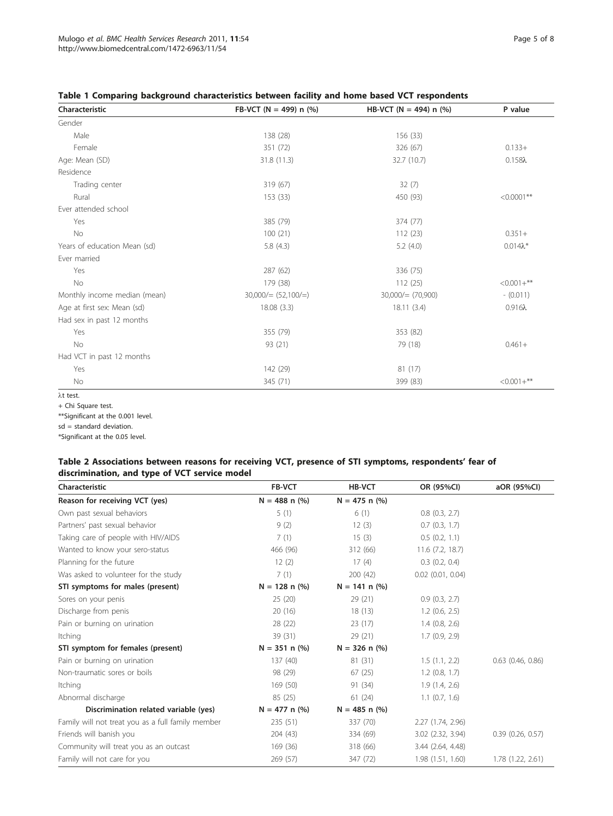| Characteristic               | FB-VCT (N = 499) n $(\%)$ | HB-VCT (N = 494) n $(\% )$ | P value          |
|------------------------------|---------------------------|----------------------------|------------------|
| Gender                       |                           |                            |                  |
| Male                         | 138 (28)                  | 156 (33)                   |                  |
| Female                       | 351 (72)                  | 326 (67)                   | $0.133+$         |
| Age: Mean (SD)               | 31.8 (11.3)               | 32.7 (10.7)                | $0.158\lambda$   |
| Residence                    |                           |                            |                  |
| Trading center               | 319 (67)                  | 32(7)                      |                  |
| Rural                        | 153 (33)                  | 450 (93)                   | $< 0.0001$ **    |
| Ever attended school         |                           |                            |                  |
| Yes                          | 385 (79)                  | 374 (77)                   |                  |
| No                           | 100(21)                   | 112(23)                    | $0.351+$         |
| Years of education Mean (sd) | 5.8(4.3)                  | 5.2(4.0)                   | $0.014\lambda^*$ |
| Ever married                 |                           |                            |                  |
| Yes                          | 287 (62)                  | 336 (75)                   |                  |
| <b>No</b>                    | 179 (38)                  | 112(25)                    | $< 0.001 +$ **   |
| Monthly income median (mean) | $30,000/=(52,100/=)$      | $30,000/=(70,900)$         | $-$ (0.011)      |
| Age at first sex: Mean (sd)  | 18.08 (3.3)               | 18.11(3.4)                 | $0.916\lambda$   |
| Had sex in past 12 months    |                           |                            |                  |
| Yes                          | 355 (79)                  | 353 (82)                   |                  |
| No                           | 93 (21)                   | 79 (18)                    | $0.461 +$        |
| Had VCT in past 12 months    |                           |                            |                  |
| Yes                          | 142 (29)                  | 81 (17)                    |                  |
| No                           | 345 (71)                  | 399 (83)                   | $<0.001+***$     |

## <span id="page-4-0"></span>Table 1 Comparing background characteristics between facility and home based VCT respondents

 $\lambda t$  test.

+ Chi Square test.

\*\*Significant at the 0.001 level.

sd = standard deviation.

\*Significant at the 0.05 level.

## Table 2 Associations between reasons for receiving VCT, presence of STI symptoms, respondents' fear of discrimination, and type of VCT service model

| Characteristic                                    | <b>FB-VCT</b>      | <b>HB-VCT</b>      | OR (95%CI)            | aOR (95%CI)           |
|---------------------------------------------------|--------------------|--------------------|-----------------------|-----------------------|
| Reason for receiving VCT (yes)                    | $N = 488$ n $(\%)$ | $N = 475$ n $(\%)$ |                       |                       |
| Own past sexual behaviors                         | 5(1)               | 6(1)               | $0.8$ $(0.3, 2.7)$    |                       |
| Partners' past sexual behavior                    | 9(2)               | 12(3)              | $0.7$ $(0.3, 1.7)$    |                       |
| Taking care of people with HIV/AIDS               | 7(1)               | 15(3)              | $0.5$ $(0.2, 1.1)$    |                       |
| Wanted to know your sero-status                   | 466 (96)           | 312 (66)           | 11.6 (7.2, 18.7)      |                       |
| Planning for the future                           | 12(2)              | 17(4)              | $0.3$ $(0.2, 0.4)$    |                       |
| Was asked to volunteer for the study              | 7(1)               | 200(42)            | $0.02$ $(0.01, 0.04)$ |                       |
| STI symptoms for males (present)                  | $N = 128$ n $(\%)$ | $N = 141$ n $(\%)$ |                       |                       |
| Sores on your penis                               | 25(20)             | 29 (21)            | $0.9$ $(0.3, 2.7)$    |                       |
| Discharge from penis                              | 20(16)             | 18(13)             | $1.2$ (0.6, 2.5)      |                       |
| Pain or burning on urination                      | 28 (22)            | 23(17)             | $1.4$ (0.8, 2.6)      |                       |
| Itching                                           | 39 (31)            | 29(21)             | 1.7(0.9, 2.9)         |                       |
| STI symptom for females (present)                 | $N = 351$ n $(\%)$ | $N = 326$ n $(\%)$ |                       |                       |
| Pain or burning on urination                      | 137 (40)           | 81 (31)            | 1.5(1.1, 2.2)         | $0.63$ $(0.46, 0.86)$ |
| Non-traumatic sores or boils                      | 98 (29)            | 67(25)             | $1.2$ (0.8, 1.7)      |                       |
| Itching                                           | 169(50)            | 91 (34)            | 1.9(1.4, 2.6)         |                       |
| Abnormal discharge                                | 85 (25)            | 61(24)             | $1.1$ (0.7, 1.6)      |                       |
| Discrimination related variable (yes)             | $N = 477$ n $(\%)$ | $N = 485$ n $(\%)$ |                       |                       |
| Family will not treat you as a full family member | 235 (51)           | 337 (70)           | 2.27 (1.74, 2.96)     |                       |
| Friends will banish you                           | 204(43)            | 334 (69)           | 3.02 (2.32, 3.94)     | 0.39(0.26, 0.57)      |
| Community will treat you as an outcast            | 169(36)            | 318 (66)           | 3.44 (2.64, 4.48)     |                       |
| Family will not care for you                      | 269 (57)           | 347 (72)           | 1.98 (1.51, 1.60)     | 1.78 (1.22, 2.61)     |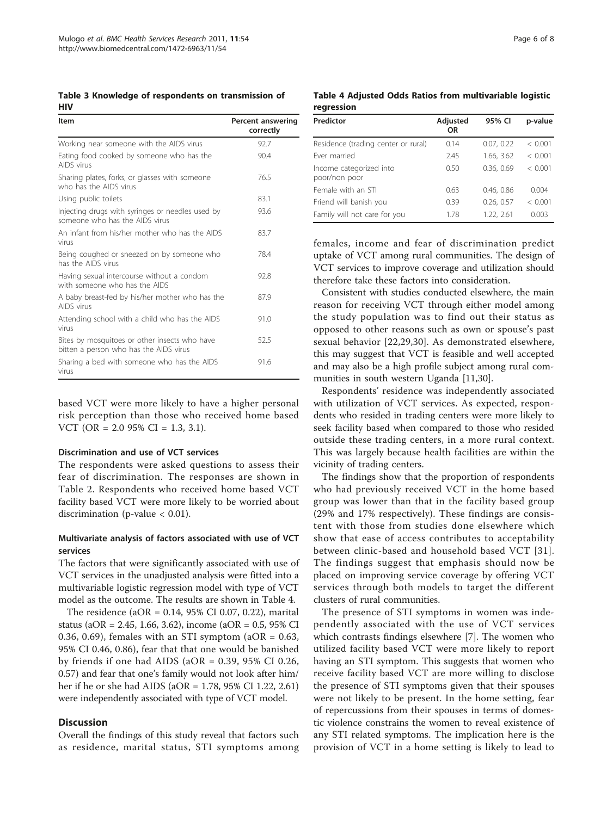<span id="page-5-0"></span>Table 3 Knowledge of respondents on transmission of HIV

| Item                                                                                    | <b>Percent answering</b><br>correctly |
|-----------------------------------------------------------------------------------------|---------------------------------------|
| Working near someone with the AIDS virus                                                | 92.7                                  |
| Eating food cooked by someone who has the<br>AIDS virus                                 | 90.4                                  |
| Sharing plates, forks, or glasses with someone<br>who has the AIDS virus                | 76.5                                  |
| Using public toilets                                                                    | 83.1                                  |
| Injecting drugs with syringes or needles used by<br>someone who has the AIDS virus      | 93.6                                  |
| An infant from his/her mother who has the AIDS<br>virus                                 | 83.7                                  |
| Being coughed or sneezed on by someone who<br>has the AIDS virus                        | 78.4                                  |
| Having sexual intercourse without a condom<br>with someone who has the AIDS             | 92.8                                  |
| A baby breast-fed by his/her mother who has the<br>AIDS virus                           | 87.9                                  |
| Attending school with a child who has the AIDS<br>virus                                 | 91.0                                  |
| Bites by mosquitoes or other insects who have<br>bitten a person who has the AIDS virus | 52.5                                  |
| Sharing a bed with someone who has the AIDS<br>virus                                    | 91.6                                  |

based VCT were more likely to have a higher personal risk perception than those who received home based VCT (OR = 2.0 95% CI = 1.3, 3.1).

## Discrimination and use of VCT services

The respondents were asked questions to assess their fear of discrimination. The responses are shown in Table [2.](#page-4-0) Respondents who received home based VCT facility based VCT were more likely to be worried about discrimination (p-value < 0.01).

## Multivariate analysis of factors associated with use of VCT services

The factors that were significantly associated with use of VCT services in the unadjusted analysis were fitted into a multivariable logistic regression model with type of VCT model as the outcome. The results are shown in Table 4.

The residence (aOR =  $0.14$ , 95% CI 0.07, 0.22), marital status (aOR = 2.45, 1.66, 3.62), income (aOR = 0.5, 95% CI 0.36, 0.69), females with an STI symptom ( $aOR = 0.63$ , 95% CI 0.46, 0.86), fear that that one would be banished by friends if one had AIDS (aOR = 0.39, 95% CI 0.26, 0.57) and fear that one's family would not look after him/ her if he or she had AIDS (aOR = 1.78, 95% CI 1.22, 2.61) were independently associated with type of VCT model.

## **Discussion**

Overall the findings of this study reveal that factors such as residence, marital status, STI symptoms among

| Table 4 Adjusted Odds Ratios from multivariable logistic |  |  |  |
|----------------------------------------------------------|--|--|--|
| regression                                               |  |  |  |

| Predictor                                | Adjusted<br><b>OR</b> | 95% CI     | p-value |
|------------------------------------------|-----------------------|------------|---------|
| Residence (trading center or rural)      | 0.14                  | 0.07, 0.22 | < 0.001 |
| Fver married                             | 2.45                  | 1.66, 3.62 | < 0.001 |
| Income categorized into<br>poor/non poor | 0.50                  | 0.36.0.69  | < 0.001 |
| Female with an STI                       | 0.63                  | 0.46, 0.86 | 0.004   |
| Friend will banish you                   | 0.39                  | 0.26, 0.57 | < 0.001 |
| Family will not care for you             | 1.78                  | 1.22, 2.61 | 0.003   |
|                                          |                       |            |         |

females, income and fear of discrimination predict uptake of VCT among rural communities. The design of VCT services to improve coverage and utilization should therefore take these factors into consideration.

Consistent with studies conducted elsewhere, the main reason for receiving VCT through either model among the study population was to find out their status as opposed to other reasons such as own or spouse's past sexual behavior [[22,29,30](#page-7-0)]. As demonstrated elsewhere, this may suggest that VCT is feasible and well accepted and may also be a high profile subject among rural communities in south western Uganda [\[11,30](#page-7-0)].

Respondents' residence was independently associated with utilization of VCT services. As expected, respondents who resided in trading centers were more likely to seek facility based when compared to those who resided outside these trading centers, in a more rural context. This was largely because health facilities are within the vicinity of trading centers.

The findings show that the proportion of respondents who had previously received VCT in the home based group was lower than that in the facility based group (29% and 17% respectively). These findings are consistent with those from studies done elsewhere which show that ease of access contributes to acceptability between clinic-based and household based VCT [[31](#page-7-0)]. The findings suggest that emphasis should now be placed on improving service coverage by offering VCT services through both models to target the different clusters of rural communities.

The presence of STI symptoms in women was independently associated with the use of VCT services which contrasts findings elsewhere [[7\]](#page-6-0). The women who utilized facility based VCT were more likely to report having an STI symptom. This suggests that women who receive facility based VCT are more willing to disclose the presence of STI symptoms given that their spouses were not likely to be present. In the home setting, fear of repercussions from their spouses in terms of domestic violence constrains the women to reveal existence of any STI related symptoms. The implication here is the provision of VCT in a home setting is likely to lead to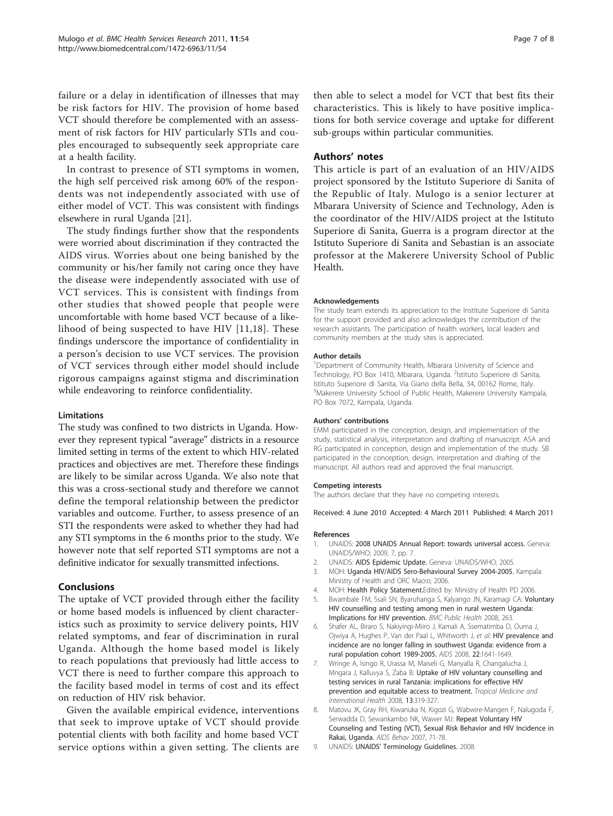<span id="page-6-0"></span>failure or a delay in identification of illnesses that may be risk factors for HIV. The provision of home based VCT should therefore be complemented with an assessment of risk factors for HIV particularly STIs and couples encouraged to subsequently seek appropriate care at a health facility.

In contrast to presence of STI symptoms in women, the high self perceived risk among 60% of the respondents was not independently associated with use of either model of VCT. This was consistent with findings elsewhere in rural Uganda [[21\]](#page-7-0).

The study findings further show that the respondents were worried about discrimination if they contracted the AIDS virus. Worries about one being banished by the community or his/her family not caring once they have the disease were independently associated with use of VCT services. This is consistent with findings from other studies that showed people that people were uncomfortable with home based VCT because of a likelihood of being suspected to have HIV [[11,18\]](#page-7-0). These findings underscore the importance of confidentiality in a person's decision to use VCT services. The provision of VCT services through either model should include rigorous campaigns against stigma and discrimination while endeavoring to reinforce confidentiality.

#### Limitations

The study was confined to two districts in Uganda. However they represent typical "average" districts in a resource limited setting in terms of the extent to which HIV-related practices and objectives are met. Therefore these findings are likely to be similar across Uganda. We also note that this was a cross-sectional study and therefore we cannot define the temporal relationship between the predictor variables and outcome. Further, to assess presence of an STI the respondents were asked to whether they had had any STI symptoms in the 6 months prior to the study. We however note that self reported STI symptoms are not a definitive indicator for sexually transmitted infections.

#### Conclusions

The uptake of VCT provided through either the facility or home based models is influenced by client characteristics such as proximity to service delivery points, HIV related symptoms, and fear of discrimination in rural Uganda. Although the home based model is likely to reach populations that previously had little access to VCT there is need to further compare this approach to the facility based model in terms of cost and its effect on reduction of HIV risk behavior.

Given the available empirical evidence, interventions that seek to improve uptake of VCT should provide potential clients with both facility and home based VCT service options within a given setting. The clients are

then able to select a model for VCT that best fits their characteristics. This is likely to have positive implications for both service coverage and uptake for different sub-groups within particular communities.

## Authors' notes

This article is part of an evaluation of an HIV/AIDS project sponsored by the Istituto Superiore di Sanita of the Republic of Italy. Mulogo is a senior lecturer at Mbarara University of Science and Technology, Aden is the coordinator of the HIV/AIDS project at the Istituto Superiore di Sanita, Guerra is a program director at the Istituto Superiore di Sanita and Sebastian is an associate professor at the Makerere University School of Public Health.

#### Acknowledgements

The study team extends its appreciation to the Institute Superiore di Sanita for the support provided and also acknowledges the contribution of the research assistants. The participation of health workers, local leaders and community members at the study sites is appreciated.

#### Author details

<sup>1</sup>Department of Community Health, Mbarara University of Science and Technology, PO Box 1410, Mbarara, Uganda. <sup>2</sup>Istituto Superiore di Sanita, Istituto Superiore di Sanita, Via Giano della Bella, 34, 00162 Rome, Italy. <sup>3</sup>Makerere University School of Public Health, Makerere University Kampala PO Box 7072, Kampala, Uganda.

#### Authors' contributions

EMM participated in the conception, design, and implementation of the study, statistical analysis, interpretation and drafting of manuscript. ASA and RG participated in conception, design and implementation of the study. SB participated in the conception, design, interpretation and drafting of the manuscript. All authors read and approved the final manuscript.

#### Competing interests

The authors declare that they have no competing interests.

Received: 4 June 2010 Accepted: 4 March 2011 Published: 4 March 2011

#### References

- 1. UNAIDS: 2008 UNAIDS Annual Report: towards universal access. Geneva: UNAIDS/WHO; 2009, 7, pp. 7.
- 2. UNAIDS: AIDS Epidemic Update. Geneva: UNAIDS/WHO; 2005.
- 3. MOH: Uganda HIV/AIDS Sero-Behavioural Survey 2004-2005. Kampala: Ministry of Health and ORC Macro; 2006.
- 4. MOH: Health Policy Statement.Edited by: Ministry of Health PD 2006.
- 5. Bwambale FM, Ssali SN, Byaruhanga S, Kalyango JN, Karamagi CA: [Voluntary](http://www.ncbi.nlm.nih.gov/pubmed/18664301?dopt=Abstract) [HIV counselling and testing among men in rural western Uganda:](http://www.ncbi.nlm.nih.gov/pubmed/18664301?dopt=Abstract) [Implications for HIV prevention.](http://www.ncbi.nlm.nih.gov/pubmed/18664301?dopt=Abstract) BMC Public Health 2008, 263.
- 6. Shafer AL, Biraro S, Nakiyingi-Miiro J, Kamali A, Ssematimba D, Ouma J, Ojwiya A, Hughes P, Van der Paal L, Whitworth J, et al: [HIV prevalence and](http://www.ncbi.nlm.nih.gov/pubmed/18670225?dopt=Abstract) [incidence are no longer falling in southwest Uganda: evidence from a](http://www.ncbi.nlm.nih.gov/pubmed/18670225?dopt=Abstract) [rural population cohort 1989-2005.](http://www.ncbi.nlm.nih.gov/pubmed/18670225?dopt=Abstract) AIDS 2008, 22:1641-1649.
- 7. Wringe A, Isingo R, Urassa M, Maiseli G, Manyalla R, Changalucha J, Mngara J, Kalluvya S, Zaba B: [Uptake of HIV voluntary counselling and](http://www.ncbi.nlm.nih.gov/pubmed/18397395?dopt=Abstract) [testing services in rural Tanzania: implications for effective HIV](http://www.ncbi.nlm.nih.gov/pubmed/18397395?dopt=Abstract) [prevention and equitable access to treatment.](http://www.ncbi.nlm.nih.gov/pubmed/18397395?dopt=Abstract) Tropical Medicine and International Health 2008, 13:319-327.
- 8. Matovu JK, Gray RH, Kiwanuka N, Kigozi G, Wabwire-Mangen F, Nalugoda F, Serwadda D, Sewankambo NK, Wawer MJ: [Repeat Voluntary HIV](http://www.ncbi.nlm.nih.gov/pubmed/17016759?dopt=Abstract) [Counseling and Testing \(VCT\), Sexual Risk Behavior and HIV Incidence in](http://www.ncbi.nlm.nih.gov/pubmed/17016759?dopt=Abstract) [Rakai, Uganda.](http://www.ncbi.nlm.nih.gov/pubmed/17016759?dopt=Abstract) AIDS Behav 2007, 71-78.
- 9. UNAIDS: UNAIDS' Terminology Guidelines. 2008.